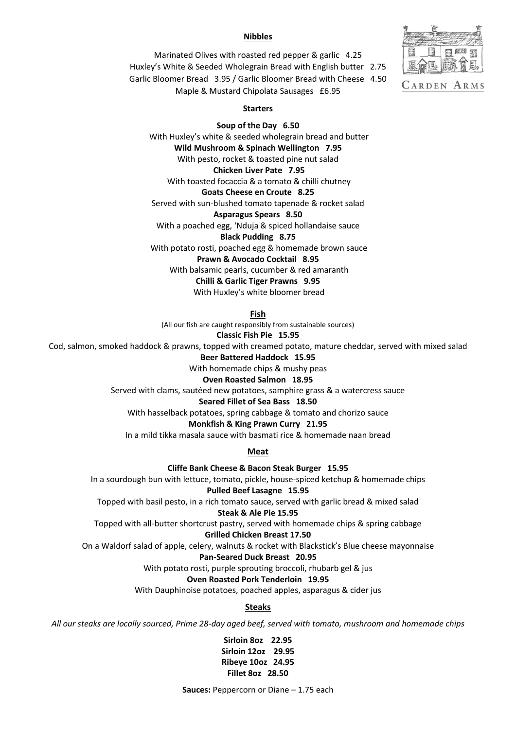# **Nibbles**



Marinated Olives with roasted red pepper & garlic 4.25 Huxley's White & Seeded Wholegrain Bread with English butter 2.75 Garlic Bloomer Bread 3.95 / Garlic Bloomer Bread with Cheese 4.50 Maple & Mustard Chipolata Sausages £6.95

# **Starters**

**Soup of the Day 6.50** With Huxley's white & seeded wholegrain bread and butter **Wild Mushroom & Spinach Wellington 7.95** With pesto, rocket & toasted pine nut salad **Chicken Liver Pate 7.95** With toasted focaccia & a tomato & chilli chutney **Goats Cheese en Croute 8.25** Served with sun-blushed tomato tapenade & rocket salad **Asparagus Spears 8.50** With a poached egg, 'Nduja & spiced hollandaise sauce **Black Pudding 8.75** With potato rosti, poached egg & homemade brown sauce **Prawn & Avocado Cocktail 8.95** With balsamic pearls, cucumber & red amaranth **Chilli & Garlic Tiger Prawns 9.95** With Huxley's white bloomer bread

**Fish**

(All our fish are caught responsibly from sustainable sources)

**Classic Fish Pie 15.95**

Cod, salmon, smoked haddock & prawns, topped with creamed potato, mature cheddar, served with mixed salad

**Beer Battered Haddock 15.95**

With homemade chips & mushy peas

#### **Oven Roasted Salmon 18.95**

Served with clams, sautéed new potatoes, samphire grass & a watercress sauce

### **Seared Fillet of Sea Bass 18.50**

With hasselback potatoes, spring cabbage & tomato and chorizo sauce

### **Monkfish & King Prawn Curry 21.95**

In a mild tikka masala sauce with basmati rice & homemade naan bread

**Meat**

**Cliffe Bank Cheese & Bacon Steak Burger 15.95**

In a sourdough bun with lettuce, tomato, pickle, house-spiced ketchup & homemade chips **Pulled Beef Lasagne 15.95**

Topped with basil pesto, in a rich tomato sauce, served with garlic bread & mixed salad

### **Steak & Ale Pie 15.95**

Topped with all-butter shortcrust pastry, served with homemade chips & spring cabbage

### **Grilled Chicken Breast 17.50**

On a Waldorf salad of apple, celery, walnuts & rocket with Blackstick's Blue cheese mayonnaise

## **Pan-Seared Duck Breast 20.95**

With potato rosti, purple sprouting broccoli, rhubarb gel & jus

#### **Oven Roasted Pork Tenderloin 19.95**

With Dauphinoise potatoes, poached apples, asparagus & cider jus

### **Steaks**

*All our steaks are locally sourced, Prime 28-day aged beef, served with tomato, mushroom and homemade chips*

**Sirloin 8oz 22.95 Sirloin 12oz 29.95 Ribeye 10oz 24.95 Fillet 8oz 28.50** 

**Sauces:** Peppercorn or Diane – 1.75 each